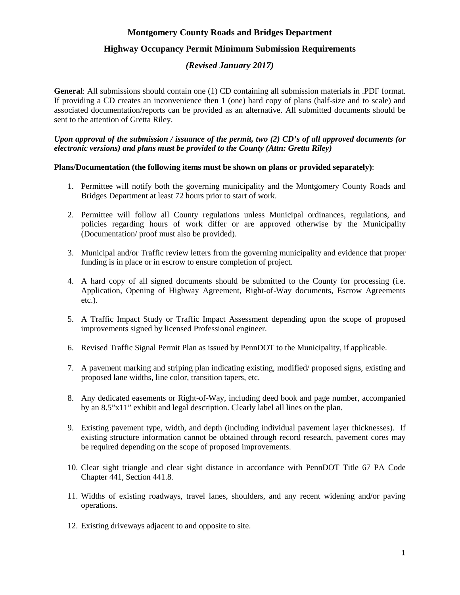# **Montgomery County Roads and Bridges Department**

# **Highway Occupancy Permit Minimum Submission Requirements**

# *(Revised January 2017)*

**General**: All submissions should contain one (1) CD containing all submission materials in .PDF format. If providing a CD creates an inconvenience then 1 (one) hard copy of plans (half-size and to scale) and associated documentation/reports can be provided as an alternative. All submitted documents should be sent to the attention of Gretta Riley.

#### *Upon approval of the submission / issuance of the permit, two (2) CD's of all approved documents (or electronic versions) and plans must be provided to the County (Attn: Gretta Riley)*

#### **Plans/Documentation (the following items must be shown on plans or provided separately)**:

- 1. Permittee will notify both the governing municipality and the Montgomery County Roads and Bridges Department at least 72 hours prior to start of work.
- 2. Permittee will follow all County regulations unless Municipal ordinances, regulations, and policies regarding hours of work differ or are approved otherwise by the Municipality (Documentation/ proof must also be provided).
- 3. Municipal and/or Traffic review letters from the governing municipality and evidence that proper funding is in place or in escrow to ensure completion of project.
- 4. A hard copy of all signed documents should be submitted to the County for processing (i.e. Application, Opening of Highway Agreement, Right-of-Way documents, Escrow Agreements etc.).
- 5. A Traffic Impact Study or Traffic Impact Assessment depending upon the scope of proposed improvements signed by licensed Professional engineer.
- 6. Revised Traffic Signal Permit Plan as issued by PennDOT to the Municipality, if applicable.
- 7. A pavement marking and striping plan indicating existing, modified/ proposed signs, existing and proposed lane widths, line color, transition tapers, etc.
- 8. Any dedicated easements or Right-of-Way, including deed book and page number, accompanied by an 8.5"x11" exhibit and legal description. Clearly label all lines on the plan.
- 9. Existing pavement type, width, and depth (including individual pavement layer thicknesses). If existing structure information cannot be obtained through record research, pavement cores may be required depending on the scope of proposed improvements.
- 10. Clear sight triangle and clear sight distance in accordance with PennDOT Title 67 PA Code Chapter 441, Section 441.8.
- 11. Widths of existing roadways, travel lanes, shoulders, and any recent widening and/or paving operations.
- 12. Existing driveways adjacent to and opposite to site.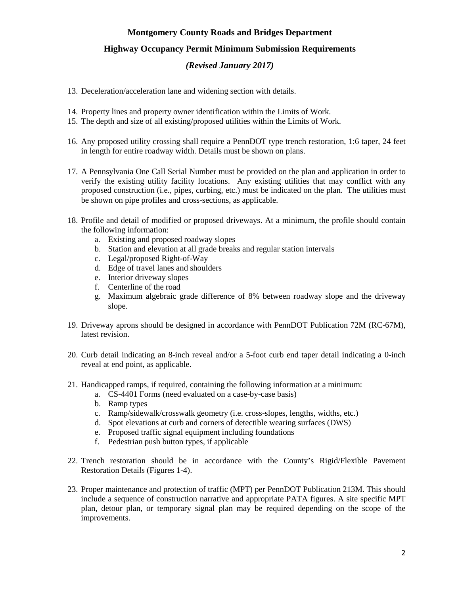# **Montgomery County Roads and Bridges Department**

# **Highway Occupancy Permit Minimum Submission Requirements**

# *(Revised January 2017)*

- 13. Deceleration/acceleration lane and widening section with details.
- 14. Property lines and property owner identification within the Limits of Work.
- 15. The depth and size of all existing/proposed utilities within the Limits of Work.
- 16. Any proposed utility crossing shall require a PennDOT type trench restoration, 1:6 taper, 24 feet in length for entire roadway width. Details must be shown on plans.
- 17. A Pennsylvania One Call Serial Number must be provided on the plan and application in order to verify the existing utility facility locations. Any existing utilities that may conflict with any proposed construction (i.e., pipes, curbing, etc.) must be indicated on the plan. The utilities must be shown on pipe profiles and cross-sections, as applicable.
- 18. Profile and detail of modified or proposed driveways. At a minimum, the profile should contain the following information:
	- a. Existing and proposed roadway slopes
	- b. Station and elevation at all grade breaks and regular station intervals
	- c. Legal/proposed Right-of-Way
	- d. Edge of travel lanes and shoulders
	- e. Interior driveway slopes
	- f. Centerline of the road
	- g. Maximum algebraic grade difference of 8% between roadway slope and the driveway slope.
- 19. Driveway aprons should be designed in accordance with PennDOT Publication 72M (RC-67M), latest revision.
- 20. Curb detail indicating an 8-inch reveal and/or a 5-foot curb end taper detail indicating a 0-inch reveal at end point, as applicable.
- 21. Handicapped ramps, if required, containing the following information at a minimum:
	- a. CS-4401 Forms (need evaluated on a case-by-case basis)
	- b. Ramp types
	- c. Ramp/sidewalk/crosswalk geometry (i.e. cross-slopes, lengths, widths, etc.)
	- d. Spot elevations at curb and corners of detectible wearing surfaces (DWS)
	- e. Proposed traffic signal equipment including foundations
	- f. Pedestrian push button types, if applicable
- 22. Trench restoration should be in accordance with the County's Rigid/Flexible Pavement Restoration Details (Figures 1-4).
- 23. Proper maintenance and protection of traffic (MPT) per PennDOT Publication 213M. This should include a sequence of construction narrative and appropriate PATA figures. A site specific MPT plan, detour plan, or temporary signal plan may be required depending on the scope of the improvements.